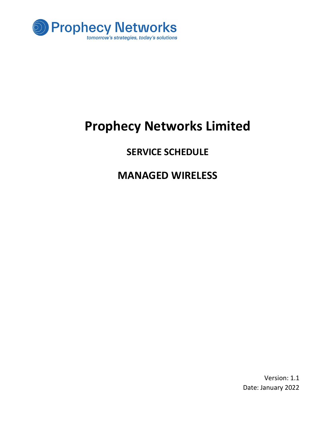

# Prophecy Networks Limited

# SERVICE SCHEDULE

# MANAGED WIRELESS

Version: 1.1 Date: January 2022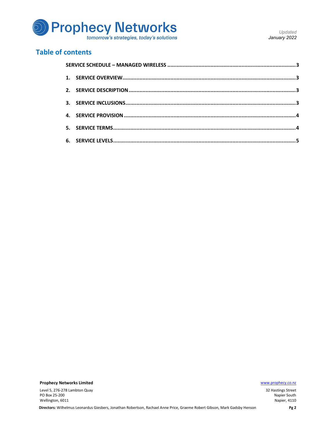

## Table of contents

Prophecy Networks Limited **Example 2018** 2019 12:00:00 Manual Accounts 2019 12:00:00 Manual Accounts 2019 12:00:00 Manual Accounts 2019 12:00:00 Manual Accounts 2019 12:00:00 Manual Accounts 2019 12:00:00 Manual Accounts 2

Level 5, 276-278 Lambton Quay PO Box 25-200 Wellington, 6011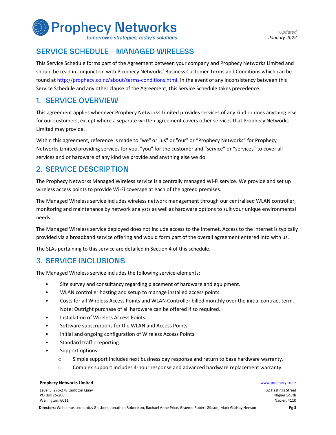

tomorrow's strategies, today's solutions

Updated January 2022

# SERVICE SCHEDULE – MANAGED WIRELESS

This Service Schedule forms part of the Agreement between your company and Prophecy Networks Limited and should be read in conjunction with Prophecy Networks' Business Customer Terms and Conditions which can be found at http://prophecy.co.nz/about/terms-conditions.html. In the event of any inconsistency between this Service Schedule and any other clause of the Agreement, this Service Schedule takes precedence.

# 1. SERVICE OVERVIEW

This agreement applies whenever Prophecy Networks Limited provides services of any kind or does anything else for our customers, except where a separate written agreement covers other services that Prophecy Networks Limited may provide.

Within this agreement, reference is made to "we" or "us" or "our" or "Prophecy Networks" for Prophecy Networks Limited providing services for you, "you" for the customer and "service" or "services" to cover all services and or hardware of any kind we provide and anything else we do.

# 2. SERVICE DESCRIPTION

The Prophecy Networks Managed Wireless service is a centrally managed Wi-Fi service. We provide and set up wireless access points to provide Wi-Fi coverage at each of the agreed premises.

The Managed Wireless service includes wireless network management through our centralised WLAN controller, monitoring and maintenance by network analysts as well as hardware options to suit your unique environmental needs.

The Managed Wireless service deployed does not include access to the internet. Access to the internet is typically provided via a broadband service offering and would form part of the overall agreement entered into with us.

The SLAs pertaining to this service are detailed in Section 4 of this schedule.

# 3. SERVICE INCLUSIONS

- 
- 
- The Managed Wireless service includes the following service-elements:<br>• Site survey and consultancy regarding placement of hardware and equipment.<br>• WLAN controller hosting and setup to manage installed access points.<br>• Co
	-
	-
	- Note: Outright purchase of all hardware can be offered if so required.<br>
	 Installation of Wireless Access Points.<br>
	 Software subscriptions for the WLAN and Access Points.<br>
	 Initial and ongoing configuration of Wireless A
	-
	- - o Simple support includes next business day response and return to base hardware warranty.
		- o Complex support includes 4-hour response and advanced hardware replacement warranty.

#### **Prophecy Networks Limited Water School School School School School School School School School School School School School School School School School School School School School School School School School School School**

Level 5, 276-278 Lambton Quay PO Box 25-200 Wellington, 6011

<sup>32</sup> Hastings Street Napier South Napier, 4110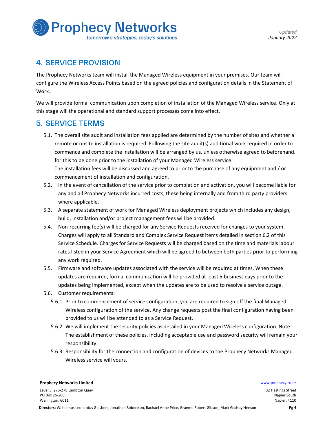

# 4. SERVICE PROVISION

The Prophecy Networks team will install the Managed Wireless equipment in your premises. Our team will configure the Wireless Access Points based on the agreed policies and configuration details in the Statement of Work.

We will provide formal communication upon completion of installation of the Managed Wireless service. Only at this stage will the operational and standard support processes come into effect.

# 5. SERVICE TERMS

- 5.1. The overall site audit and installation fees applied are determined by the number of sites and whether a remote or onsite installation is required. Following the site audit(s) additional work required in order to commence and complete the installation will be arranged by us, unless otherwise agreed to beforehand. for this to be done prior to the installation of your Managed Wireless service. The installation fees will be discussed and agreed to prior to the purchase of any equipment and / or commencement of installation and configuration.
- 5.2. In the event of cancellation of the service prior to completion and activation, you will become liable for any and all Prophecy Networks incurred costs, these being internally and from third party providers where applicable.
- 5.3. A separate statement of work for Managed Wireless deployment projects which includes any design, build, installation and/or project management fees will be provided.
- 5.4. Non-recurring fee(s) will be charged for any Service Requests received for changes to your system. Charges will apply to all Standard and Complex Service Request items detailed in section 6.2 of this Service Schedule. Charges for Service Requests will be charged based on the time and materials labour rates listed in your Service Agreement which will be agreed to between both parties prior to performing any work required.
- 5.5. Firmware and software updates associated with the service will be required at times. When these updates are required, formal communication will be provided at least 5 business days prior to the updates being implemented, except when the updates are to be used to resolve a service outage.
- 5.6. Customer requirements:
	- 5.6.1. Prior to commencement of service configuration, you are required to sign off the final Managed Wireless configuration of the service. Any change requests post the final configuration having been provided to us will be attended to as a Service Request.
	- 5.6.2. We will implement the security policies as detailed in your Managed Wireless configuration. Note: The establishment of these policies, including acceptable use and password security will remain your responsibility.
	- 5.6.3. Responsibility for the connection and configuration of devices to the Prophecy Networks Managed Wireless service will yours.

#### **Prophecy Networks Limited Water School School School School School School School School School School School School School School School School School School School School School School School School School School School**

Level 5, 276-278 Lambton Quay PO Box 25-200 Wellington, 6011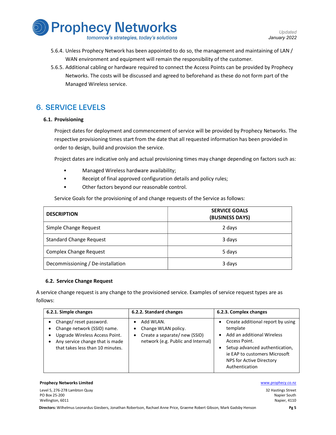

- 5.6.4. Unless Prophecy Network has been appointed to do so, the management and maintaining of LAN / WAN environment and equipment will remain the responsibility of the customer.
- 5.6.5. Additional cabling or hardware required to connect the Access Points can be provided by Prophecy Networks. The costs will be discussed and agreed to beforehand as these do not form part of the Managed Wireless service.

# 6. SERVICE LEVELS

### 6.1. Provisioning

Project dates for deployment and commencement of service will be provided by Prophecy Networks. The respective provisioning times start from the date that all requested information has been provided in order to design, build and provision the service.

Project dates are indicative only and actual provisioning times may change depending on factors such as:<br>• Managed Wireless hardware availability;<br>• Receipt of final approved configuration details and policy rules;<br>• Other

- 
- 
- 

Service Goals for the provisioning of and change requests of the Service as follows:

| <b>DESCRIPTION</b>                | <b>SERVICE GOALS</b><br>(BUSINESS DAYS) |
|-----------------------------------|-----------------------------------------|
| Simple Change Request             | 2 days                                  |
| <b>Standard Change Request</b>    | 3 days                                  |
| <b>Complex Change Request</b>     | 5 days                                  |
| Decommissioning / De-installation | 3 days                                  |

#### 6.2. Service Change Request

A service change request is any change to the provisioned service. Examples of service request types are as follows:

| 6.2.1. Simple changes                                                                                                                                          | 6.2.2. Standard changes                                                                                               | 6.2.3. Complex changes                                                                                                                                                                                                       |
|----------------------------------------------------------------------------------------------------------------------------------------------------------------|-----------------------------------------------------------------------------------------------------------------------|------------------------------------------------------------------------------------------------------------------------------------------------------------------------------------------------------------------------------|
| Change/reset password.<br>Change network (SSID) name.<br>Upgrade Wireless Access Point.<br>Any service change that is made<br>that takes less than 10 minutes. | Add WLAN.<br>٠<br>Change WLAN policy.<br>٠<br>Create a separate/new (SSID)<br>٠<br>network (e.g. Public and Internal) | Create additional report by using<br>٠<br>template<br>Add an additional Wireless<br>٠<br>Access Point.<br>Setup advanced authentication,<br>٠<br>ie EAP to customers Microsoft<br>NPS for Active Directory<br>Authentication |

#### **Prophecy Networks Limited Water School School School School School School School School School School School School School School School School School School School School School School School School School School School**

Level 5, 276-278 Lambton Quay PO Box 25-200 Wellington, 6011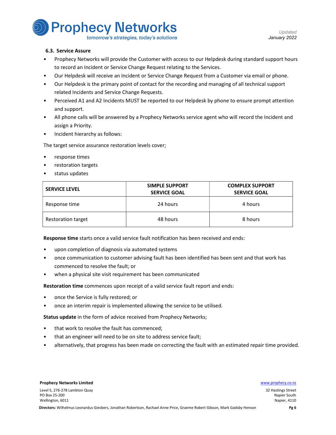**Prophecy Networks** 

tomorrow's strategies, today's solutions

Updated January 2022

#### 6.3. Service Assure

- Prophecy Networks will provide the Customer with access to our Helpdesk during standard support hours
- to record an Incident or Service Change Request relating to the Services.<br>Our Helpdesk will receive an Incident or Service Change Request from a Customer via email or phone.<br>Our Helpdesk is the primary point of contact for
- 
- related Incidents and Service Change Requests.<br>Perceived A1 and A2 Incidents MUST be reported to our Helpdesk by phone to ensure prompt attention
- and support.<br>All phone calls will be answered by a Prophecy Networks service agent who will record the Incident and
- assign a Priority.<br>Incident hierarchy as follows:

The target service assurance restoration levels cover;<br>
• response times<br>
• restoration targets<br>
• status updates

- 
- 
- 

| <b>SERVICE LEVEL</b>      | <b>SIMPLE SUPPORT</b><br><b>SERVICE GOAL</b> | <b>COMPLEX SUPPORT</b><br><b>SERVICE GOAL</b> |
|---------------------------|----------------------------------------------|-----------------------------------------------|
| Response time             | 24 hours                                     | 4 hours                                       |
| <b>Restoration target</b> | 48 hours                                     | 8 hours                                       |

- 
- **Response time** starts once a valid service fault notification has been received and ends:<br>• upon completion of diagnosis via automated systems<br>• once communication to customer advising fault has been identified has been s
- commenced to resolve the fault; or when a physical site visit requirement has been communicated

- 
- Restoration time commences upon receipt of a valid service fault report and ends:<br>
 once the Service is fully restored; or<br>
 once an interim repair is implemented allowing the service to be utilised.

- 
- 
- Status update in the form of advice received from Prophecy Networks;<br>• that work to resolve the fault has commenced;<br>• that an engineer will need to be on site to address service fault;<br>• alternatively, that progress has b

#### **Prophecy Networks Limited Water School School School School School School School School School School School School School School School School School School School School School School School School School School School**

Level 5, 276-278 Lambton Quay PO Box 25-200 Wellington, 6011

<sup>32</sup> Hastings Street Napier South Napier, 4110